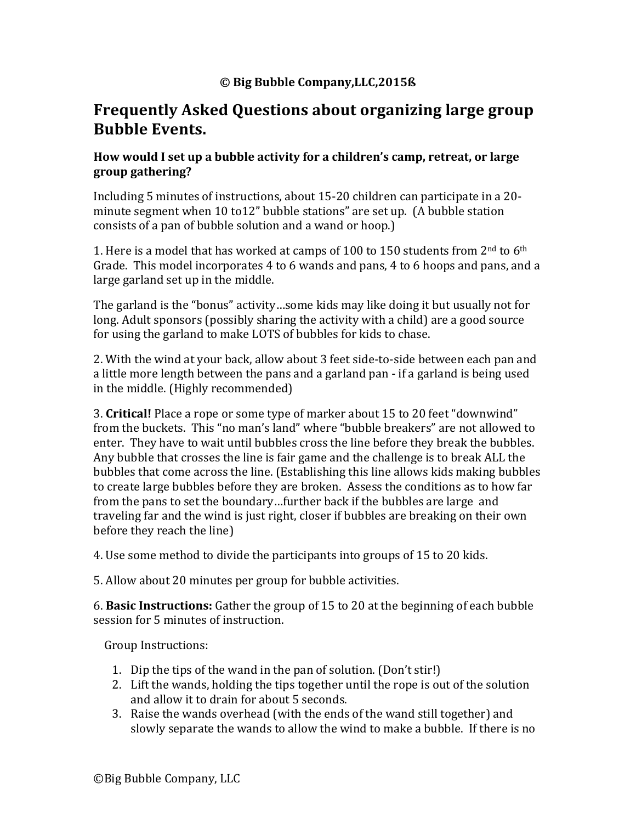#### **© Big Bubble Company,LLC,2015ß**

# **Frequently Asked Ouestions about organizing large group Bubble Events.**

#### **How** would I set up a bubble activity for a children's camp, retreat, or large **group gathering?**

Including 5 minutes of instructions, about 15-20 children can participate in a 20minute segment when  $10$  to $12$ " bubble stations" are set up. (A bubble station consists of a pan of bubble solution and a wand or hoop.)

1. Here is a model that has worked at camps of 100 to 150 students from  $2<sup>nd</sup>$  to 6<sup>th</sup> Grade. This model incorporates 4 to 6 wands and pans, 4 to 6 hoops and pans, and a large garland set up in the middle.

The garland is the "bonus" activity…some kids may like doing it but usually not for long. Adult sponsors (possibly sharing the activity with a child) are a good source for using the garland to make LOTS of bubbles for kids to chase.

2. With the wind at your back, allow about 3 feet side-to-side between each pan and a little more length between the pans and a garland pan - if a garland is being used in the middle. (Highly recommended)

3. Critical! Place a rope or some type of marker about 15 to 20 feet "downwind" from the buckets. This "no man's land" where "bubble breakers" are not allowed to enter. They have to wait until bubbles cross the line before they break the bubbles. Any bubble that crosses the line is fair game and the challenge is to break ALL the bubbles that come across the line. (Establishing this line allows kids making bubbles to create large bubbles before they are broken. Assess the conditions as to how far from the pans to set the boundary...further back if the bubbles are large and traveling far and the wind is just right, closer if bubbles are breaking on their own before they reach the line)

4. Use some method to divide the participants into groups of 15 to 20 kids.

5. Allow about 20 minutes per group for bubble activities.

6. **Basic Instructions:** Gather the group of 15 to 20 at the beginning of each bubble session for 5 minutes of instruction.

Group Instructions:

- 1. Dip the tips of the wand in the pan of solution. (Don't stir!)
- 2. Lift the wands, holding the tips together until the rope is out of the solution and allow it to drain for about 5 seconds.
- 3. Raise the wands overhead (with the ends of the wand still together) and slowly separate the wands to allow the wind to make a bubble. If there is no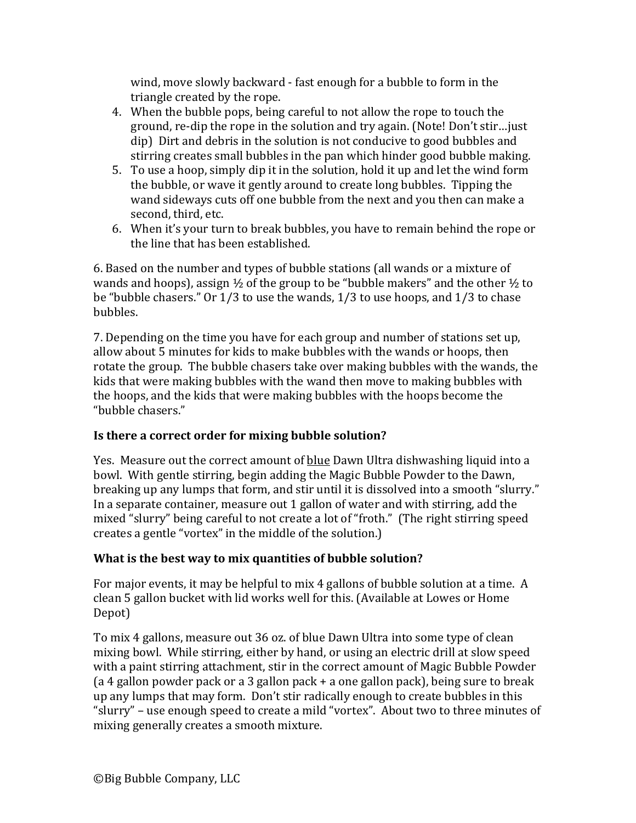wind, move slowly backward - fast enough for a bubble to form in the triangle created by the rope.

- 4. When the bubble pops, being careful to not allow the rope to touch the ground, re-dip the rope in the solution and try again. (Note! Don't stir... just dip) Dirt and debris in the solution is not conducive to good bubbles and stirring creates small bubbles in the pan which hinder good bubble making.
- 5. To use a hoop, simply dip it in the solution, hold it up and let the wind form the bubble, or wave it gently around to create long bubbles. Tipping the wand sideways cuts off one bubble from the next and you then can make a second, third, etc.
- 6. When it's your turn to break bubbles, you have to remain behind the rope or the line that has been established.

6. Based on the number and types of bubble stations (all wands or a mixture of wands and hoops), assign  $\frac{1}{2}$  of the group to be "bubble makers" and the other  $\frac{1}{2}$  to be "bubble chasers." Or  $1/3$  to use the wands,  $1/3$  to use hoops, and  $1/3$  to chase bubbles.

7. Depending on the time you have for each group and number of stations set up, allow about 5 minutes for kids to make bubbles with the wands or hoops, then rotate the group. The bubble chasers take over making bubbles with the wands, the kids that were making bubbles with the wand then move to making bubbles with the hoops, and the kids that were making bubbles with the hoops become the "bubble chasers."

# **Is there a correct order for mixing bubble solution?**

Yes. Measure out the correct amount of blue Dawn Ultra dishwashing liquid into a bowl. With gentle stirring, begin adding the Magic Bubble Powder to the Dawn, breaking up any lumps that form, and stir until it is dissolved into a smooth "slurry." In a separate container, measure out 1 gallon of water and with stirring, add the mixed "slurry" being careful to not create a lot of "froth." (The right stirring speed creates a gentle "vortex" in the middle of the solution.)

## **What is the best way to mix quantities of bubble solution?**

For major events, it may be helpful to mix 4 gallons of bubble solution at a time. A clean 5 gallon bucket with lid works well for this. (Available at Lowes or Home Depot)

To mix 4 gallons, measure out 36 oz. of blue Dawn Ultra into some type of clean mixing bowl. While stirring, either by hand, or using an electric drill at slow speed with a paint stirring attachment, stir in the correct amount of Magic Bubble Powder (a 4 gallon powder pack or a 3 gallon pack  $+$  a one gallon pack), being sure to break up any lumps that may form. Don't stir radically enough to create bubbles in this "slurry" – use enough speed to create a mild "vortex". About two to three minutes of mixing generally creates a smooth mixture.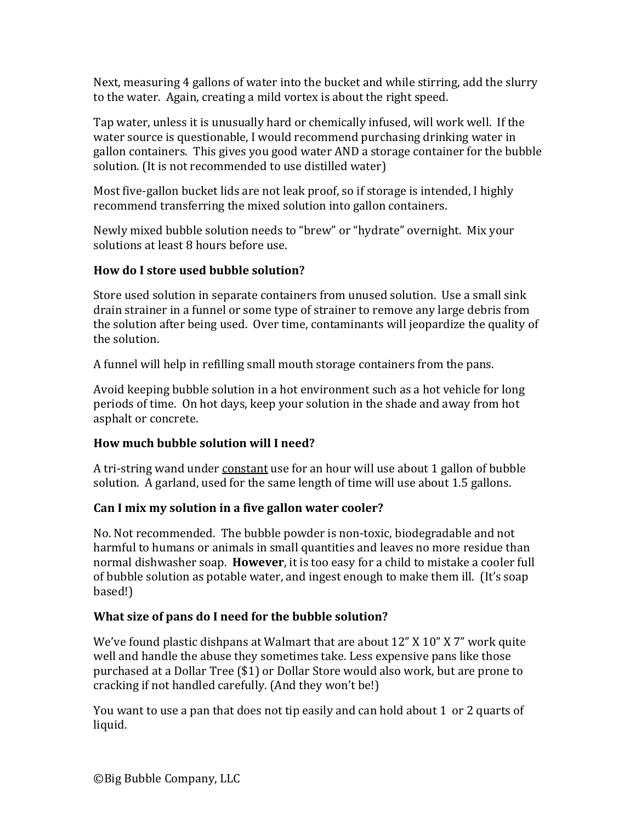Next, measuring 4 gallons of water into the bucket and while stirring, add the slurry to the water. Again, creating a mild vortex is about the right speed.

Tap water, unless it is unusually hard or chemically infused, will work well. If the water source is questionable, I would recommend purchasing drinking water in gallon containers. This gives you good water AND a storage container for the bubble solution. (It is not recommended to use distilled water)

Most five-gallon bucket lids are not leak proof, so if storage is intended, I highly recommend transferring the mixed solution into gallon containers.

Newly mixed bubble solution needs to "brew" or "hydrate" overnight. Mix your solutions at least 8 hours before use.

## **How do I store used bubble solution?**

Store used solution in separate containers from unused solution. Use a small sink drain strainer in a funnel or some type of strainer to remove any large debris from the solution after being used. Over time, contaminants will jeopardize the quality of the solution.

A funnel will help in refilling small mouth storage containers from the pans.

Avoid keeping bubble solution in a hot environment such as a hot vehicle for long periods of time. On hot days, keep your solution in the shade and away from hot asphalt or concrete.

## **How much bubble solution will I need?**

A tri-string wand under constant use for an hour will use about 1 gallon of bubble solution. A garland, used for the same length of time will use about 1.5 gallons.

## Can I mix my solution in a five gallon water cooler?

No. Not recommended. The bubble powder is non-toxic, biodegradable and not harmful to humans or animals in small quantities and leaves no more residue than normal dishwasher soap. **However**, it is too easy for a child to mistake a cooler full of bubble solution as potable water, and ingest enough to make them ill. (It's soap based!)

## **What size of pans do I need for the bubble solution?**

We've found plastic dishpans at Walmart that are about  $12$ " X  $10$ " X  $7$ " work quite well and handle the abuse they sometimes take. Less expensive pans like those purchased at a Dollar Tree (\$1) or Dollar Store would also work, but are prone to cracking if not handled carefully. (And they won't be!)

You want to use a pan that does not tip easily and can hold about 1 or 2 quarts of liquid.